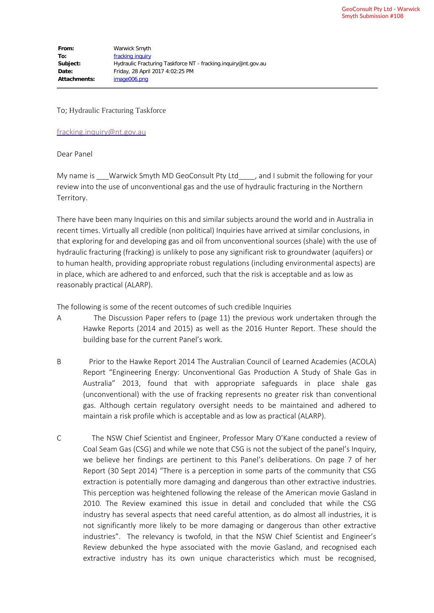To; Hydraulic Fracturing Taskforce

[fracking.inquiry@nt.gov.au](mailto:fracking.inquiry@nt.gov.au)

Dear Panel

My name is \_\_\_Warwick Smyth MD GeoConsult Pty Ltd\_\_\_\_, and I submit the following for your review into the use of unconventional gas and the use of hydraulic fracturing in the Northern Territory.

There have been many Inquiries on this and similar subjects around the world and in Australia in recent times. Virtually all credible (non political) Inquiries have arrived at similar conclusions, in that exploring for and developing gas and oil from unconventional sources (shale) with the use of hydraulic fracturing (fracking) is unlikely to pose any significant risk to groundwater (aquifers) or to human health, providing appropriate robust regulations (including environmental aspects) are in place, which are adhered to and enforced, such that the risk is acceptable and as low as reasonably practical (ALARP).

The following is some of the recent outcomes of such credible Inquiries

- A The Discussion Paper refers to (page 11) the previous work undertaken through the Hawke Reports (2014 and 2015) as well as the 2016 Hunter Report. These should the building base for the current Panel's work.
- B Prior to the Hawke Report 2014 The Australian Council of Learned Academies (ACOLA) Report "Engineering Energy: Unconventional Gas Production A Study of Shale Gas in Australia" 2013, found that with appropriate safeguards in place shale gas (unconventional) with the use of fracking represents no greater risk than conventional gas. Although certain regulatory oversight needs to be maintained and adhered to maintain a risk profile which is acceptable and as low as practical (ALARP).
- C The NSW Chief Scientist and Engineer, Professor Mary O'Kane conducted a review of Coal Seam Gas (CSG) and while we note that CSG is not the subject of the panel's Inquiry, we believe her findings are pertinent to this Panel's deliberations. On page 7 of her Report (30 Sept 2014) "There is a perception in some parts of the community that CSG extraction is potentially more damaging and dangerous than other extractive industries. This perception was heightened following the release of the American movie Gasland in 2010. The Review examined this issue in detail and concluded that while the CSG industry has several aspects that need careful attention, as do almost all industries, it is not significantly more likely to be more damaging or dangerous than other extractive industries". The relevancy is twofold, in that the NSW Chief Scientist and Engineer's Review debunked the hype associated with the movie Gasland, and recognised each extractive industry has its own unique characteristics which must be recognised,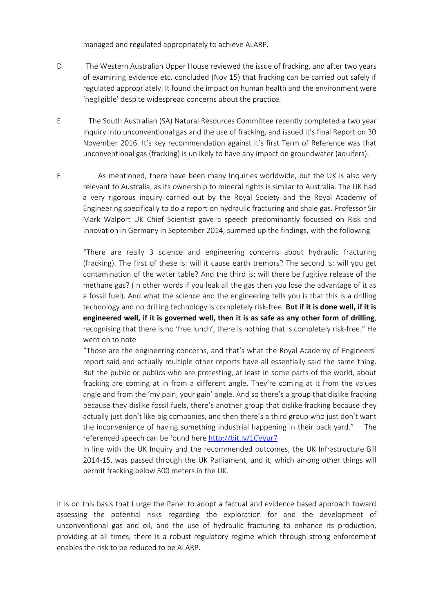managed and regulated appropriately to achieve ALARP.

- D The Western Australian Upper House reviewed the issue of fracking, and after two years of examining evidence etc. concluded (Nov 15) that fracking can be carried out safely if regulated appropriately. It found the impact on human health and the environment were 'negligible' despite widespread concerns about the practice.
- E The South Australian (SA) Natural Resources Committee recently completed a two year Inquiry into unconventional gas and the use of fracking, and issued it's final Report on 30 November 2016. It's key recommendation against it's first Term of Reference was that unconventional gas (fracking) is unlikely to have any impact on groundwater (aquifers).
- F As mentioned, there have been many Inquiries worldwide, but the UK is also very relevant to Australia, as its ownership to mineral rights is similar to Australia. The UK had a very rigorous inquiry carried out by the Royal Society and the Royal Academy of Engineering specifically to do a report on hydraulic fracturing and shale gas. Professor Sir Mark Walport UK Chief Scientist gave a speech predominantly focussed on Risk and Innovation in Germany in September 2014, summed up the findings, with the following

"There are really 3 science and engineering concerns about hydraulic fracturing (fracking). The first of these is: will it cause earth tremors? The second is: will you get contamination of the water table? And the third is: will there be fugitive release of the methane gas? (In other words if you leak all the gas then you lose the advantage of it as a fossil fuel). And what the science and the engineering tells you is that this is a drilling technology and no drilling technology is completely risk-free. **But if it is done well, if it is engineered well, if it is governed well, then it is as safe as any other form of drilling**, recognising that there is no 'free lunch', there is nothing that is completely risk-free." He went on to note

"Those are the engineering concerns, and that's what the Royal Academy of Engineers' report said and actually multiple other reports have all essentially said the same thing. But the public or publics who are protesting, at least in some parts of the world, about fracking are coming at in from a different angle. They're coming at it from the values angle and from the 'my pain, your gain' angle. And so there's a group that dislike fracking because they dislike fossil fuels, there's another group that dislike fracking because they actually just don't like big companies, and then there's a third group who just don't want the inconvenience of having something industrial happening in their back yard." The referenced speech can be found here <http://bit.ly/1CVyur7>

In line with the UK Inquiry and the recommended outcomes, the UK Infrastructure Bill 2014-15, was passed through the UK Parliament, and it, which among other things will permit fracking below 300 meters in the UK.

It is on this basis that I urge the Panel to adopt a factual and evidence based approach toward assessing the potential risks regarding the exploration for and the development of unconventional gas and oil, and the use of hydraulic fracturing to enhance its production, providing at all times, there is a robust regulatory regime which through strong enforcement enables the risk to be reduced to be ALARP.